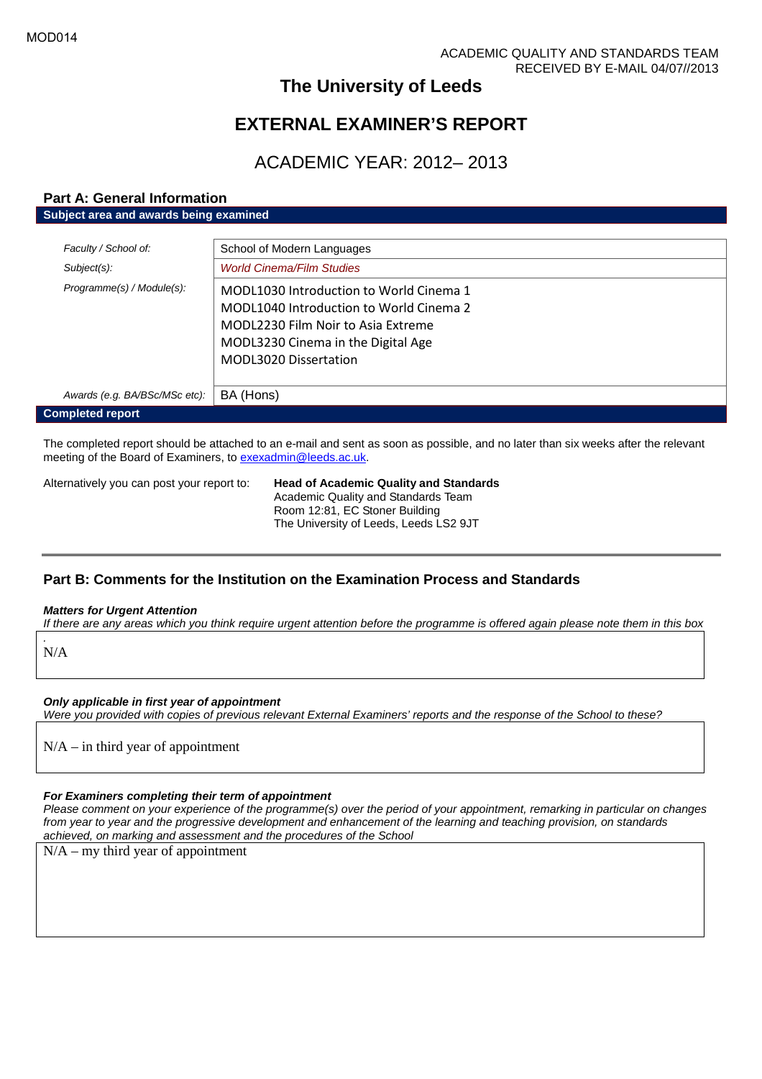# **The University of Leeds**

# **EXTERNAL EXAMINER'S REPORT**

# ACADEMIC YEAR: 2012– 2013

# **Part A: General Information Subject area and awards being examined**

| Faculty / School of:          | School of Modern Languages                                                                                                                                                              |
|-------------------------------|-----------------------------------------------------------------------------------------------------------------------------------------------------------------------------------------|
| Subject(s):                   | <b>World Cinema/Film Studies</b>                                                                                                                                                        |
| Programme(s) / Module(s):     | MODL1030 Introduction to World Cinema 1<br>MODL1040 Introduction to World Cinema 2<br>MODL2230 Film Noir to Asia Extreme<br>MODL3230 Cinema in the Digital Age<br>MODL3020 Dissertation |
| Awards (e.g. BA/BSc/MSc etc): | BA (Hons)                                                                                                                                                                               |
| <b>Completed report</b>       |                                                                                                                                                                                         |

The completed report should be attached to an e-mail and sent as soon as possible, and no later than six weeks after the relevant meeting of the Board of Examiners, to [exexadmin@leeds.ac.uk.](mailto:exexadmin@leeds.ac.uk)

Alternatively you can post your report to: **Head of Academic Quality and Standards** Academic Quality and Standards Team Room 12:81, EC Stoner Building The University of Leeds, Leeds LS2 9JT

# **Part B: Comments for the Institution on the Examination Process and Standards**

#### *Matters for Urgent Attention*

*If there are any areas which you think require urgent attention before the programme is offered again please note them in this box*

N/A

*.*

*Only applicable in first year of appointment*

*Were you provided with copies of previous relevant External Examiners' reports and the response of the School to these?*

 $N/A$  – in third year of appointment

#### *For Examiners completing their term of appointment*

*Please comment on your experience of the programme(s) over the period of your appointment, remarking in particular on changes from year to year and the progressive development and enhancement of the learning and teaching provision, on standards achieved, on marking and assessment and the procedures of the School*

 $N/A - my$  third year of appointment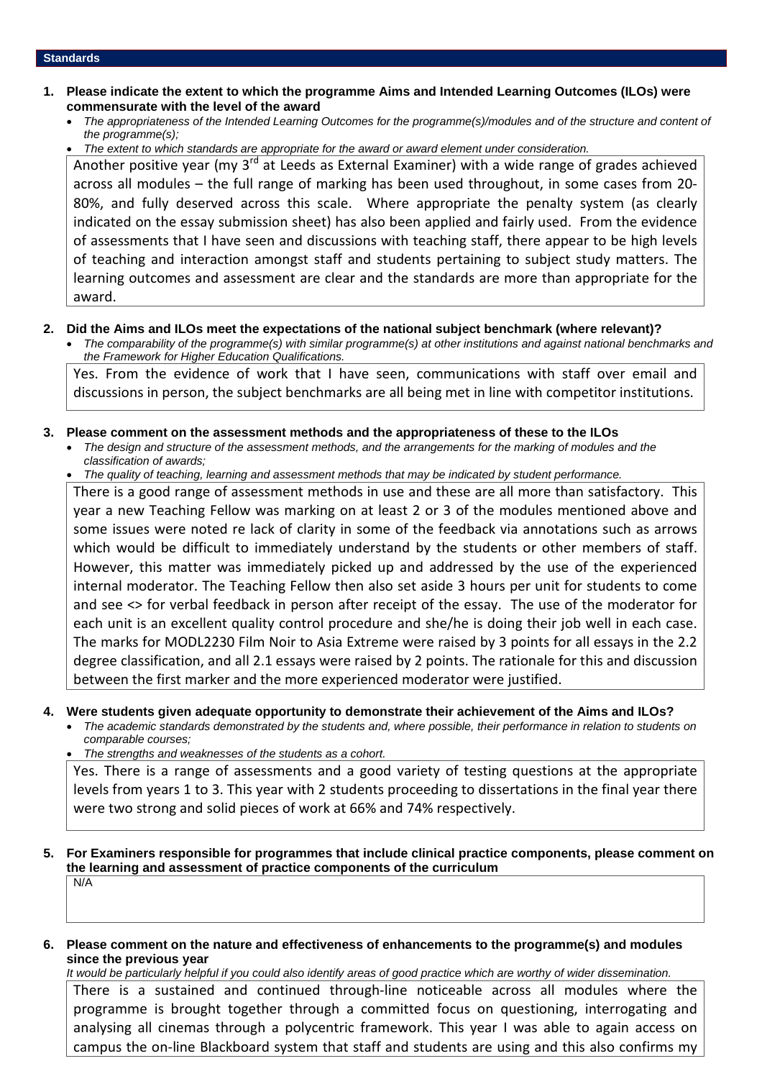- **1. Please indicate the extent to which the programme Aims and Intended Learning Outcomes (ILOs) were commensurate with the level of the award**
	- *The appropriateness of the Intended Learning Outcomes for the programme(s)/modules and of the structure and content of the programme(s);*
	- *The extent to which standards are appropriate for the award or award element under consideration.*

Another positive year (my  $3^{rd}$  at Leeds as External Examiner) with a wide range of grades achieved across all modules – the full range of marking has been used throughout, in some cases from 20- 80%, and fully deserved across this scale. Where appropriate the penalty system (as clearly indicated on the essay submission sheet) has also been applied and fairly used. From the evidence of assessments that I have seen and discussions with teaching staff, there appear to be high levels of teaching and interaction amongst staff and students pertaining to subject study matters. The learning outcomes and assessment are clear and the standards are more than appropriate for the award.

#### **2. Did the Aims and ILOs meet the expectations of the national subject benchmark (where relevant)?**

 *The comparability of the programme(s) with similar programme(s) at other institutions and against national benchmarks and the Framework for Higher Education Qualifications.*

Yes. From the evidence of work that I have seen, communications with staff over email and discussions in person, the subject benchmarks are all being met in line with competitor institutions.

- **3. Please comment on the assessment methods and the appropriateness of these to the ILOs**
	- *The design and structure of the assessment methods, and the arrangements for the marking of modules and the classification of awards;*
	- *The quality of teaching, learning and assessment methods that may be indicated by student performance.*

There is a good range of assessment methods in use and these are all more than satisfactory. This year a new Teaching Fellow was marking on at least 2 or 3 of the modules mentioned above and some issues were noted re lack of clarity in some of the feedback via annotations such as arrows which would be difficult to immediately understand by the students or other members of staff. However, this matter was immediately picked up and addressed by the use of the experienced internal moderator. The Teaching Fellow then also set aside 3 hours per unit for students to come and see <> for verbal feedback in person after receipt of the essay. The use of the moderator for each unit is an excellent quality control procedure and she/he is doing their job well in each case. The marks for MODL2230 Film Noir to Asia Extreme were raised by 3 points for all essays in the 2.2 degree classification, and all 2.1 essays were raised by 2 points. The rationale for this and discussion between the first marker and the more experienced moderator were justified.

#### **4. Were students given adequate opportunity to demonstrate their achievement of the Aims and ILOs?**

- *The academic standards demonstrated by the students and, where possible, their performance in relation to students on comparable courses;*
- *The strengths and weaknesses of the students as a cohort.*

Yes. There is a range of assessments and a good variety of testing questions at the appropriate levels from years 1 to 3. This year with 2 students proceeding to dissertations in the final year there were two strong and solid pieces of work at 66% and 74% respectively.

**5. For Examiners responsible for programmes that include clinical practice components, please comment on the learning and assessment of practice components of the curriculum** N/A

## **6. Please comment on the nature and effectiveness of enhancements to the programme(s) and modules since the previous year**

*It would be particularly helpful if you could also identify areas of good practice which are worthy of wider dissemination.*

There is a sustained and continued through-line noticeable across all modules where the programme is brought together through a committed focus on questioning, interrogating and analysing all cinemas through a polycentric framework. This year I was able to again access on campus the on-line Blackboard system that staff and students are using and this also confirms my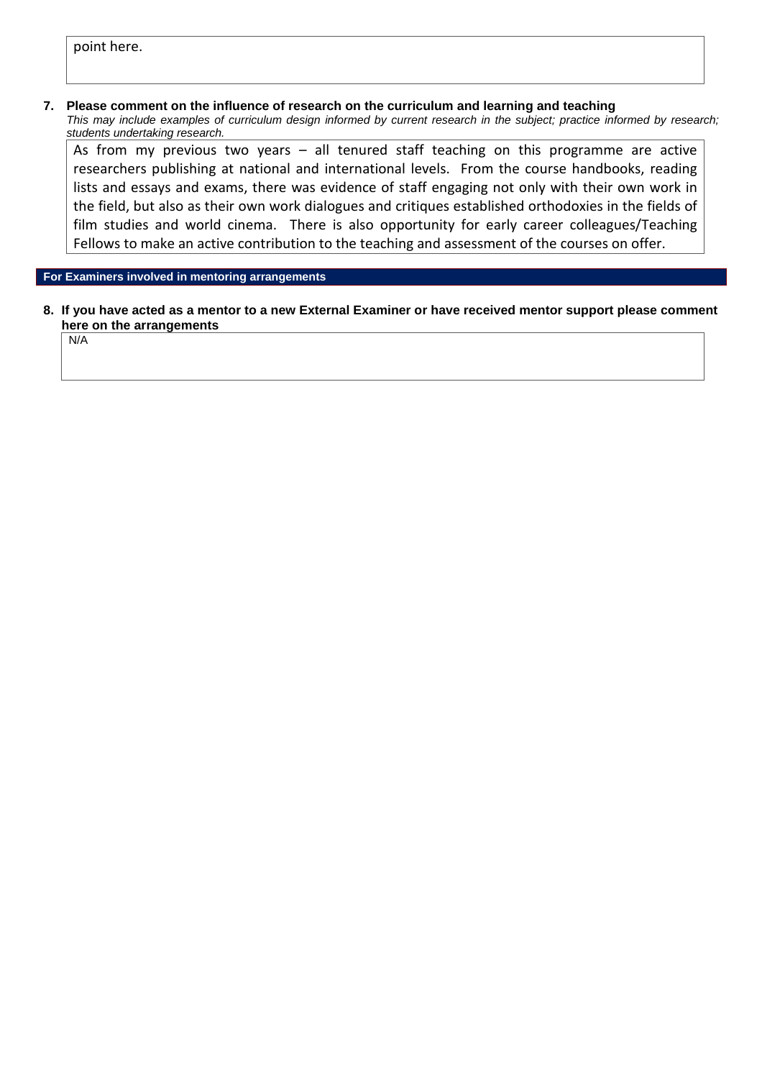# point here.

### **7. Please comment on the influence of research on the curriculum and learning and teaching**

*This may include examples of curriculum design informed by current research in the subject; practice informed by research; students undertaking research.*

As from my previous two years – all tenured staff teaching on this programme are active researchers publishing at national and international levels. From the course handbooks, reading lists and essays and exams, there was evidence of staff engaging not only with their own work in the field, but also as their own work dialogues and critiques established orthodoxies in the fields of film studies and world cinema. There is also opportunity for early career colleagues/Teaching Fellows to make an active contribution to the teaching and assessment of the courses on offer.

**For Examiners involved in mentoring arrangements**

**8. If you have acted as a mentor to a new External Examiner or have received mentor support please comment here on the arrangements**

N/A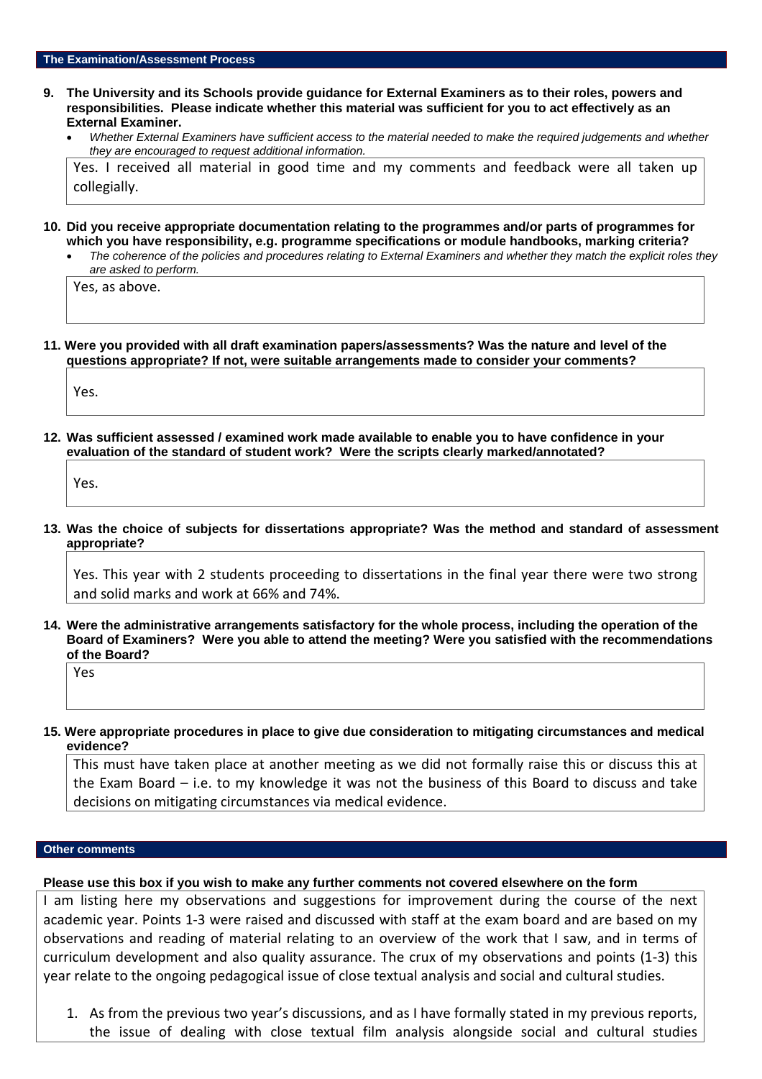- **9. The University and its Schools provide guidance for External Examiners as to their roles, powers and responsibilities. Please indicate whether this material was sufficient for you to act effectively as an External Examiner.**
	- *Whether External Examiners have sufficient access to the material needed to make the required judgements and whether they are encouraged to request additional information.*

Yes. I received all material in good time and my comments and feedback were all taken up collegially.

- **10. Did you receive appropriate documentation relating to the programmes and/or parts of programmes for which you have responsibility, e.g. programme specifications or module handbooks, marking criteria?**
	- *The coherence of the policies and procedures relating to External Examiners and whether they match the explicit roles they are asked to perform.*

Yes, as above.

**11. Were you provided with all draft examination papers/assessments? Was the nature and level of the questions appropriate? If not, were suitable arrangements made to consider your comments?**

Yes.

**12. Was sufficient assessed / examined work made available to enable you to have confidence in your evaluation of the standard of student work? Were the scripts clearly marked/annotated?**

Yes.

**13. Was the choice of subjects for dissertations appropriate? Was the method and standard of assessment appropriate?**

Yes. This year with 2 students proceeding to dissertations in the final year there were two strong and solid marks and work at 66% and 74%.

**14. Were the administrative arrangements satisfactory for the whole process, including the operation of the Board of Examiners? Were you able to attend the meeting? Were you satisfied with the recommendations of the Board?**

Yes

**15. Were appropriate procedures in place to give due consideration to mitigating circumstances and medical evidence?**

This must have taken place at another meeting as we did not formally raise this or discuss this at the Exam Board – i.e. to my knowledge it was not the business of this Board to discuss and take decisions on mitigating circumstances via medical evidence.

#### **Other comments**

#### **Please use this box if you wish to make any further comments not covered elsewhere on the form**

I am listing here my observations and suggestions for improvement during the course of the next academic year. Points 1-3 were raised and discussed with staff at the exam board and are based on my observations and reading of material relating to an overview of the work that I saw, and in terms of curriculum development and also quality assurance. The crux of my observations and points (1-3) this year relate to the ongoing pedagogical issue of close textual analysis and social and cultural studies.

1. As from the previous two year's discussions, and as I have formally stated in my previous reports, the issue of dealing with close textual film analysis alongside social and cultural studies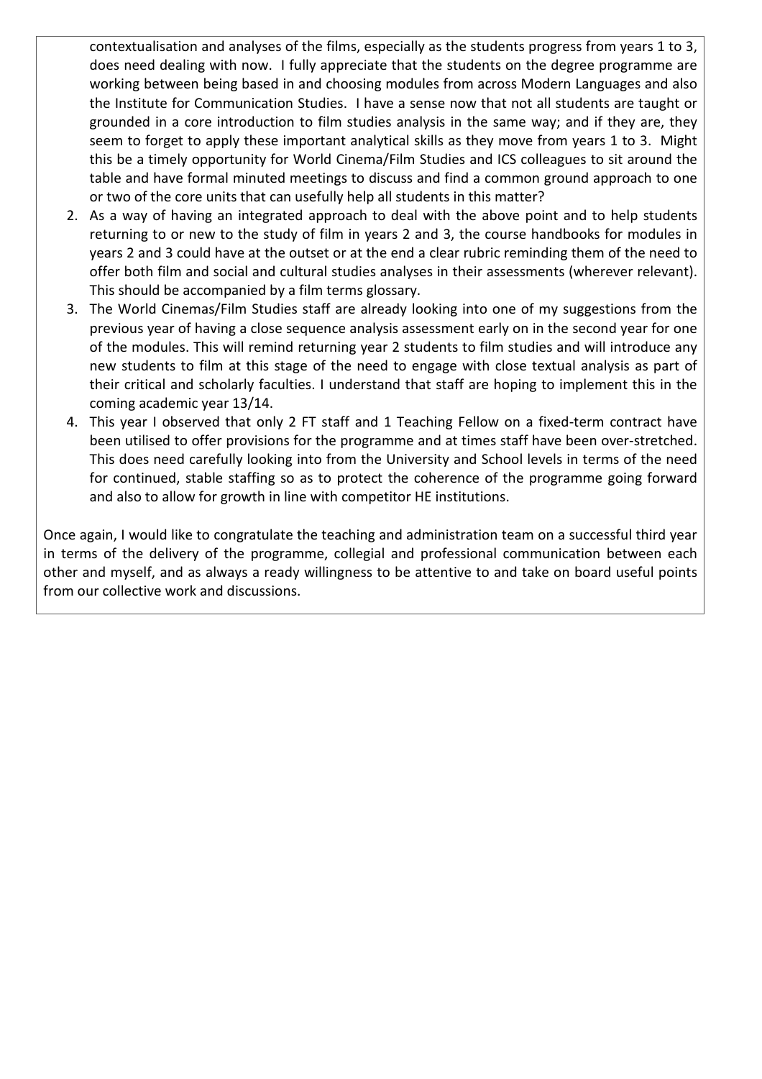contextualisation and analyses of the films, especially as the students progress from years 1 to 3, does need dealing with now. I fully appreciate that the students on the degree programme are working between being based in and choosing modules from across Modern Languages and also the Institute for Communication Studies. I have a sense now that not all students are taught or grounded in a core introduction to film studies analysis in the same way; and if they are, they seem to forget to apply these important analytical skills as they move from years 1 to 3. Might this be a timely opportunity for World Cinema/Film Studies and ICS colleagues to sit around the table and have formal minuted meetings to discuss and find a common ground approach to one or two of the core units that can usefully help all students in this matter?

- 2. As a way of having an integrated approach to deal with the above point and to help students returning to or new to the study of film in years 2 and 3, the course handbooks for modules in years 2 and 3 could have at the outset or at the end a clear rubric reminding them of the need to offer both film and social and cultural studies analyses in their assessments (wherever relevant). This should be accompanied by a film terms glossary.
- 3. The World Cinemas/Film Studies staff are already looking into one of my suggestions from the previous year of having a close sequence analysis assessment early on in the second year for one of the modules. This will remind returning year 2 students to film studies and will introduce any new students to film at this stage of the need to engage with close textual analysis as part of their critical and scholarly faculties. I understand that staff are hoping to implement this in the coming academic year 13/14.
- 4. This year I observed that only 2 FT staff and 1 Teaching Fellow on a fixed-term contract have been utilised to offer provisions for the programme and at times staff have been over-stretched. This does need carefully looking into from the University and School levels in terms of the need for continued, stable staffing so as to protect the coherence of the programme going forward and also to allow for growth in line with competitor HE institutions.

Once again, I would like to congratulate the teaching and administration team on a successful third year in terms of the delivery of the programme, collegial and professional communication between each other and myself, and as always a ready willingness to be attentive to and take on board useful points from our collective work and discussions.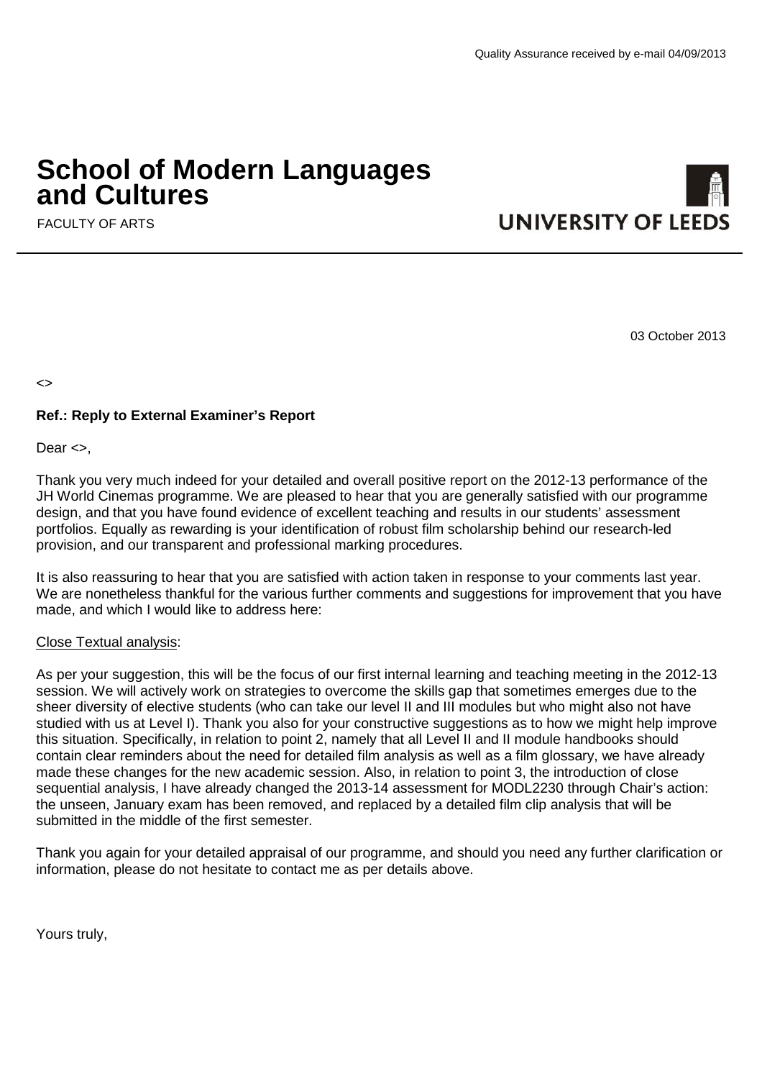# **School of Modern Languages and Cultures**

FACULTY OF ARTS

03 October 2013

 $\left\langle \right\rangle$ 

# **Ref.: Reply to External Examiner's Report**

Dear <>,

Thank you very much indeed for your detailed and overall positive report on the 2012-13 performance of the JH World Cinemas programme. We are pleased to hear that you are generally satisfied with our programme design, and that you have found evidence of excellent teaching and results in our students' assessment portfolios. Equally as rewarding is your identification of robust film scholarship behind our research-led provision, and our transparent and professional marking procedures.

It is also reassuring to hear that you are satisfied with action taken in response to your comments last year. We are nonetheless thankful for the various further comments and suggestions for improvement that you have made, and which I would like to address here:

# Close Textual analysis:

As per your suggestion, this will be the focus of our first internal learning and teaching meeting in the 2012-13 session. We will actively work on strategies to overcome the skills gap that sometimes emerges due to the sheer diversity of elective students (who can take our level II and III modules but who might also not have studied with us at Level I). Thank you also for your constructive suggestions as to how we might help improve this situation. Specifically, in relation to point 2, namely that all Level II and II module handbooks should contain clear reminders about the need for detailed film analysis as well as a film glossary, we have already made these changes for the new academic session. Also, in relation to point 3, the introduction of close sequential analysis, I have already changed the 2013-14 assessment for MODL2230 through Chair's action: the unseen, January exam has been removed, and replaced by a detailed film clip analysis that will be submitted in the middle of the first semester.

Thank you again for your detailed appraisal of our programme, and should you need any further clarification or information, please do not hesitate to contact me as per details above.

Yours truly,